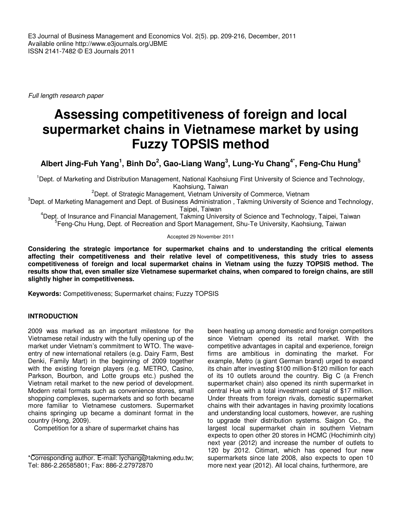E3 Journal of Business Management and Economics Vol. 2(5). pp. 209-216, December, 2011 Available online http://www.e3journals.org/JBME ISSN 2141-7482 © E3 Journals 2011

Full length research paper

# **Assessing competitiveness of foreign and local supermarket chains in Vietnamese market by using Fuzzy TOPSIS method**

**Albert Jing-Fuh Yang<sup>1</sup> , Binh Do<sup>2</sup> , Gao-Liang Wang<sup>3</sup> , Lung-Yu Chang4\*, Feng-Chu Hung<sup>5</sup>**

<sup>1</sup>Dept. of Marketing and Distribution Management, National Kaohsiung First University of Science and Technology, Kaohsiung, Taiwan

<sup>2</sup>Dept. of Strategic Management, Vietnam University of Commerce, Vietnam

 $3$ Dept. of Marketing Management and Dept. of Business Administration, Takming University of Science and Technology, Taipei, Taiwan

<sup>4</sup>Dept. of Insurance and Financial Management, Takming University of Science and Technology, Taipei, Taiwan <sup>5</sup>Feng-Chu Hung, Dept. of Recreation and Sport Management, Shu-Te University, Kaohsiung, Taiwan

Accepted 29 November 2011

**Considering the strategic importance for supermarket chains and to understanding the critical elements affecting their competitiveness and their relative level of competitiveness, this study tries to assess competitiveness of foreign and local supermarket chains in Vietnam using the fuzzy TOPSIS method. The results show that, even smaller size Vietnamese supermarket chains, when compared to foreign chains, are still slightly higher in competitiveness.** 

**Keywords:** Competitiveness; Supermarket chains; Fuzzy TOPSIS

## **INTRODUCTION**

2009 was marked as an important milestone for the Vietnamese retail industry with the fully opening up of the market under Vietnam's commitment to WTO. The waveentry of new international retailers (e.g. Dairy Farm, Best Denki, Family Mart) in the beginning of 2009 together with the existing foreign players (e.g. METRO, Casino, Parkson, Bourbon, and Lotte groups etc.) pushed the Vietnam retail market to the new period of development. Modern retail formats such as convenience stores, small shopping complexes, supermarkets and so forth became more familiar to Vietnamese customers. Supermarket chains springing up became a dominant format in the country (Hong, 2009).

Competition for a share of supermarket chains has

\*Corresponding author. E-mail: lychang@takming.edu.tw; Tel: 886-2.26585801; Fax: 886-2.27972870

been heating up among domestic and foreign competitors since Vietnam opened its retail market. With the competitive advantages in capital and experience, foreign firms are ambitious in dominating the market. For example, Metro (a giant German brand) urged to expand its chain after investing \$100 million-\$120 million for each of its 10 outlets around the country. Big C (a French supermarket chain) also opened its ninth supermarket in central Hue with a total investment capital of \$17 million. Under threats from foreign rivals, domestic supermarket chains with their advantages in having proximity locations and understanding local customers, however, are rushing to upgrade their distribution systems. Saigon Co., the largest local supermarket chain in southern Vietnam expects to open other 20 stores in HCMC (Hochiminh city) next year (2012) and increase the number of outlets to 120 by 2012. Citimart, which has opened four new supermarkets since late 2008, also expects to open 10 more next year (2012). All local chains, furthermore, are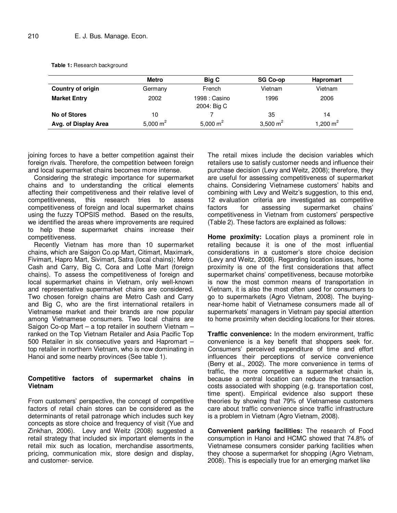|  |  |  | Table 1: Research background |
|--|--|--|------------------------------|
|--|--|--|------------------------------|

|                          | <b>Metro</b> | Big C                        | <b>SG Co-op</b> | <b>Hapromart</b> |
|--------------------------|--------------|------------------------------|-----------------|------------------|
| <b>Country of origin</b> | Germany      | French                       | Vietnam         | Vietnam          |
| <b>Market Entry</b>      | 2002         | 1998 : Casino<br>2004: Big C | 1996            | 2006             |
| No of Stores             | 10           |                              | 35              | 14               |
| Avg. of Display Area     | 5,000 $m^2$  | 5,000 $m^2$                  | 3,500 $m2$      | 1,200 $m^2$      |

joining forces to have a better competition against their foreign rivals. Therefore, the competition between foreign and local supermarket chains becomes more intense.

Considering the strategic importance for supermarket chains and to understanding the critical elements affecting their competitiveness and their relative level of competitiveness, this research tries to assess competitiveness of foreign and local supermarket chains using the fuzzy TOPSIS method. Based on the results, we identified the areas where improvements are required to help these supermarket chains increase their competitiveness.

Recently Vietnam has more than 10 supermarket chains, which are Saigon Co.op Mart, Citimart, Maximark, Fivimart, Hapro Mart, Sivimart, Satra (local chains); Metro Cash and Carry, Big C, Cora and Lotte Mart (foreign chains). To assess the competitiveness of foreign and local supermarket chains in Vietnam, only well-known and representative supermarket chains are considered. Two chosen foreign chains are Metro Cash and Carry and Big C, who are the first international retailers in Vietnamese market and their brands are now popular among Vietnamese consumers. Two local chains are Saigon Co-op Mart – a top retailer in southern Vietnam – ranked on the Top Vietnam Retailer and Asia Pacific Top 500 Retailer in six consecutive years and Hapromart – top retailer in northern Vietnam, who is now dominating in Hanoi and some nearby provinces (See table 1).

### **Competitive factors of supermarket chains in Vietnam**

From customers' perspective, the concept of competitive factors of retail chain stores can be considered as the determinants of retail patronage which includes such key concepts as store choice and frequency of visit (Yue and Zinkhan, 2006). Levy and Weitz (2008) suggested a retail strategy that included six important elements in the retail mix such as location, merchandise assortments, pricing, communication mix, store design and display, and customer- service.

The retail mixes include the decision variables which retailers use to satisfy customer needs and influence their purchase decision (Levy and Weitz, 2008); therefore, they are useful for assessing competitiveness of supermarket chains. Considering Vietnamese customers' habits and combining with Levy and Weitz's suggestion, to this end, 12 evaluation criteria are investigated as competitive factors for assessing supermarket chains' competitiveness in Vietnam from customers' perspective (Table 2). These factors are explained as follows:

**Home proximity:** Location plays a prominent role in retailing because it is one of the most influential considerations in a customer's store choice decision (Levy and Weitz, 2008). Regarding location issues, home proximity is one of the first considerations that affect supermarket chains' competitiveness, because motorbike is now the most common means of transportation in Vietnam, it is also the most often used for consumers to go to supermarkets (Agro Vietnam, 2008). The buyingnear-home habit of Vietnamese consumers made all of supermarkets' managers in Vietnam pay special attention to home proximity when deciding locations for their stores.

**Traffic convenience:** In the modern environment, traffic convenience is a key benefit that shoppers seek for. Consumers' perceived expenditure of time and effort influences their perceptions of service convenience (Berry et al., 2002). The more convenience in terms of traffic, the more competitive a supermarket chain is, because a central location can reduce the transaction costs associated with shopping (e.g. transportation cost, time spent). Empirical evidence also support these theories by showing that 79% of Vietnamese customers care about traffic convenience since traffic infrastructure is a problem in Vietnam (Agro Vietnam, 2008).

**Convenient parking facilities:** The research of Food consumption in Hanoi and HCMC showed that 74.8% of Vietnamese consumers consider parking facilities when they choose a supermarket for shopping (Agro Vietnam, 2008). This is especially true for an emerging market like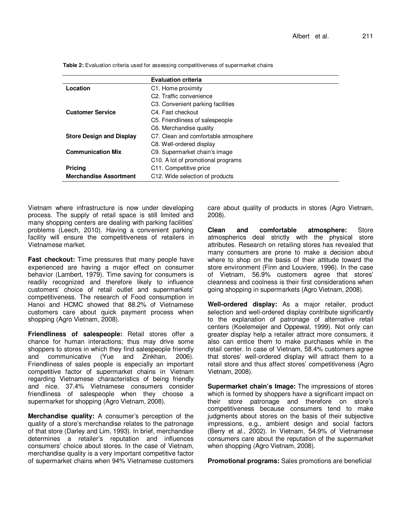|                                 | <b>Evaluation criteria</b>                      |  |
|---------------------------------|-------------------------------------------------|--|
| Location                        | C1. Home proximity                              |  |
|                                 | C <sub>2</sub> . Traffic convenience            |  |
|                                 | C <sub>3</sub> . Convenient parking facilities  |  |
| <b>Customer Service</b>         | C4. Fast checkout                               |  |
|                                 | C5. Friendliness of salespeople                 |  |
|                                 | C6. Merchandise quality                         |  |
| <b>Store Design and Display</b> | C7. Clean and comfortable atmosphere            |  |
|                                 | C8. Well-ordered display                        |  |
| <b>Communication Mix</b>        | C9. Supermarket chain's image                   |  |
|                                 | C <sub>10</sub> . A lot of promotional programs |  |
| <b>Pricing</b>                  | C <sub>11</sub> . Competitive price             |  |
| <b>Merchandise Assortment</b>   | C <sub>12</sub> . Wide selection of products    |  |

**Table 2:** Evaluation criteria used for assessing competitiveness of supermarket chains

Vietnam where infrastructure is now under developing process. The supply of retail space is still limited and many shopping centers are dealing with parking facilities' problems (Leech, 2010). Having a convenient parking facility will ensure the competitiveness of retailers in Vietnamese market.

**Fast checkout:** Time pressures that many people have experienced are having a major effect on consumer behavior (Lambert, 1979). Time saving for consumers is readily recognized and therefore likely to influence customers' choice of retail outlet and supermarkets' competitiveness. The research of Food consumption in Hanoi and HCMC showed that 88.2% of Vietnamese customers care about quick payment process when shopping (Agro Vietnam, 2008).

**Friendliness of salespeople:** Retail stores offer a chance for human interactions; thus may drive some shoppers to stores in which they find salespeople friendly and communicative (Yue and Zinkhan, 2006). Friendliness of sales people is especially an important competitive factor of supermarket chains in Vietnam regarding Vietnamese characteristics of being friendly and nice. 37.4% Vietnamese consumers consider friendliness of salespeople when they choose a supermarket for shopping (Agro Vietnam, 2008).

**Merchandise quality:** A consumer's perception of the quality of a store's merchandise relates to the patronage of that store (Darley and Lim, 1993). In brief, merchandise determines a retailer's reputation and influences consumers' choice about stores. In the case of Vietnam, merchandise quality is a very important competitive factor of supermarket chains when 94% Vietnamese customers care about quality of products in stores (Agro Vietnam, 2008).

**Clean and comfortable atmosphere:** Store atmospherics deal strictly with the physical store attributes. Research on retailing stores has revealed that many consumers are prone to make a decision about where to shop on the basis of their attitude toward the store environment (Finn and Louviere, 1996). In the case of Vietnam, 56.9% customers agree that stores' cleanness and coolness is their first considerations when going shopping in supermarkets (Agro Vietnam, 2008).

**Well-ordered display:** As a major retailer, product selection and well-ordered display contribute significantly to the explanation of patronage of alternative retail centers (Koelemeijer and Oppewal, 1999). Not only can greater display help a retailer attract more consumers, it also can entice them to make purchases while in the retail center. In case of Vietnam, 58.4% customers agree that stores' well-ordered display will attract them to a retail store and thus affect stores' competitiveness (Agro Vietnam, 2008).

**Supermarket chain's Image:** The impressions of stores which is formed by shoppers have a significant impact on their store patronage and therefore on store's competitiveness because consumers tend to make judgments about stores on the basis of their subjective impressions, e.g., ambient design and social factors (Berry et al., 2002). In Vietnam, 54.9% of Vietnamese consumers care about the reputation of the supermarket when shopping (Agro Vietnam, 2008).

**Promotional programs:** Sales promotions are beneficial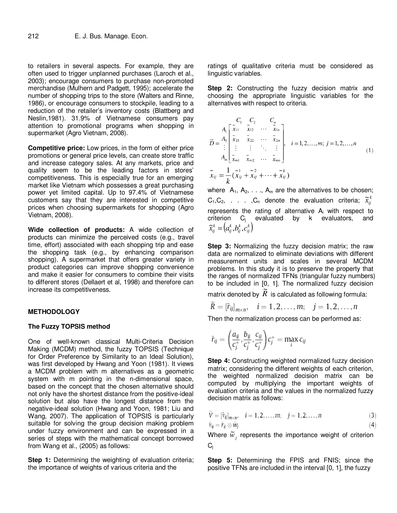to retailers in several aspects. For example, they are often used to trigger unplanned purchases (Laroch et al., 2003); encourage consumers to purchase non-promoted merchandise (Mulhern and Padgett, 1995); accelerate the number of shopping trips to the store (Walters and Rinne, 1986), or encourage consumers to stockpile, leading to a reduction of the retailer's inventory costs (Blattberg and Neslin,1981). 31.9% of Vietnamese consumers pay attention to promotional programs when shopping in supermarket (Agro Vietnam, 2008).

**Competitive price:** Low prices, in the form of either price promotions or general price levels, can create store traffic and increase category sales. At any markets, price and quality seem to be the leading factors in stores' competitiveness. This is especially true for an emerging market like Vietnam which possesses a great purchasing power yet limited capital. Up to 97.4% of Vietnamese customers say that they are interested in competitive prices when choosing supermarkets for shopping (Agro Vietnam, 2008).

**Wide collection of products:** A wide collection of products can minimize the perceived costs (e.g., travel time, effort) associated with each shopping trip and ease the shopping task (e.g., by enhancing comparison shopping). A supermarket that offers greater variety in product categories can improve shopping convenience and make it easier for consumers to combine their visits to different stores (Dellaert et al, 1998) and therefore can increase its competitiveness.

### **METHODOLOGY**

### **The Fuzzy TOPSIS method**

One of well-known classical Multi-Criteria Decision Making (MCDM) method, the fuzzy TOPSIS (Technique for Order Preference by Similarity to an Ideal Solution), was first developed by Hwang and Yoon (1981). It views a MCDM problem with m alternatives as a geometric system with m pointing in the n-dimensional space, based on the concept that the chosen alternative should not only have the shortest distance from the positive-ideal solution but also have the longest distance from the negative-ideal solution (Hwang and Yoon, 1981; Liu and Wang, 2007). The application of TOPSIS is particularly suitable for solving the group decision making problem under fuzzy environment and can be expressed in a series of steps with the mathematical concept borrowed from Wang et al., (2005) as follows:

**Step 1:** Determining the weighting of evaluation criteria; the importance of weights of various criteria and the

ratings of qualitative criteria must be considered as linguistic variables.

**Step 2:** Constructing the fuzzy decision matrix and choosing the appropriate linguistic variables for the alternatives with respect to criteria.

$$
\widetilde{D} = \frac{A_1}{\widetilde{z}} \begin{bmatrix} \widetilde{x}_1 & \widetilde{x}_2 & C_n \\ \widetilde{x}_{11} & \widetilde{x}_{12} & \cdots & \widetilde{x}_{1n} \\ \vdots & \vdots & \ddots & \vdots \\ \vdots & \vdots & \ddots & \vdots \\ \widetilde{x}_{m1} & \widetilde{x}_{m2} & \cdots & \widetilde{x}_{mn} \end{bmatrix}, \quad i = 1, 2, \ldots, m; \quad j = 1, 2, \ldots, n
$$
\n
$$
\widetilde{x}_{ij} = \frac{1}{k} (\widetilde{x}_1 + \widetilde{x}_2 + \cdots + \widetilde{x}_{ij})
$$
\n
$$
(1)
$$

where  $A_1, A_2, \ldots, A_m$  are the alternatives to be chosen;  $C_1, C_2, \ldots, C_n$  denote the evaluation criteria;  $\widetilde{x}_{ij}^k$ represents the rating of alternative  $A_i$  with respect to criterion C<sub>j</sub> evaluated by k evaluators, and  $(a_{ii}^k, b_{ii}^k, c_{ii}^k)$ *ij k ij k ij*  $\widetilde{x}^k_{ij} = (a^k_{ij}, b^k_{ij}, c)$ 

**Step 3:** Normalizing the fuzzy decision matrix; the raw data are normalized to eliminate deviations with different measurement units and scales in several MCDM problems. In this study it is to preserve the property that the ranges of normalized TFNs (triangular fuzzy numbers) to be included in [0, 1]. The normalized fuzzy decision .ั<br>กั

matrix denoted by *R* is calculated as following formula:

$$
\widetilde{R}=[\widetilde{r}_{ij}]_{m\times n},\quad i=1,2,\ldots,m;\quad j=1,2,\ldots,n
$$

Then the normalization process can be performed as:

$$
\tilde{r}_{ij} = \left(\frac{a_{ij}}{c_j^+}, \frac{b_{ij}}{c_j^+}, \frac{c_{ij}}{c_j^+}\right) c_j^+ = \max_i c_{ij}
$$

**Step 4:** Constructing weighted normalized fuzzy decision matrix; considering the different weights of each criterion, the weighted normalized decision matrix can be computed by multiplying the important weights of evaluation criteria and the values in the normalized fuzzy decision matrix as follows:

$$
\tilde{V} = [\tilde{v}_{ij}]_{m \times n}, \quad i = 1, 2, ..., m; \quad j = 1, 2, ..., n
$$
 (3)

$$
^{(4)}
$$

Where  $\widetilde{w}_j$  represents the importance weight of criterion  $C_i$ 

**Step 5:** Determining the FPIS and FNIS; since the positive TFNs are included in the interval [0, 1], the fuzzy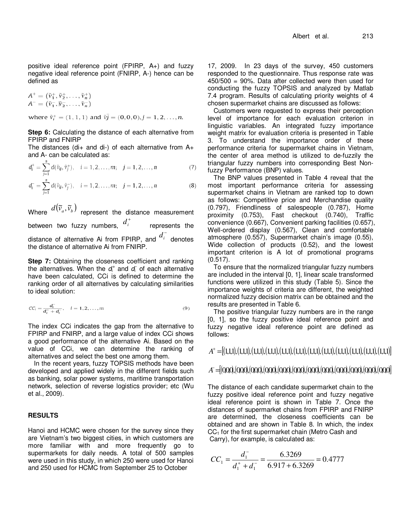positive ideal reference point (FPIRP, A+) and fuzzy negative ideal reference point (FNIRP, A-) hence can be defined as

$$
A^{+} = (\tilde{v}_{1}^{+}, \tilde{v}_{2}^{+}, \dots, \tilde{v}_{n}^{+})
$$
  

$$
A^{-} = (\tilde{v}_{1}^{-}, \tilde{v}_{2}^{-}, \dots, \tilde{v}_{n}^{-})
$$

where  $\tilde{v}_i^+ = (1, 1, 1)$  and  $\tilde{v}_j^+ = (0, 0, 0), j = 1, 2, ..., n$ .

**Step 6:** Calculating the distance of each alternative from FPIRP and FNIRP

The distances (di+ and di-) of each alternative from  $A+$ and A- can be calculated as:

$$
d_i^+ = \sum_{j=1}^n d(\tilde{v}_{ij}, \tilde{v}_j^+), \quad i = 1, 2, \dots, m; \quad j = 1, 2, \dots, n
$$
 (7)

$$
d_i^- = \sum_{j=1}^n d(\tilde{v}_{ij}, \tilde{v}_j^-), \quad i = 1, 2, \dots, m; \quad j = 1, 2, \dots, n
$$
 (8)

Where  $d(\widetilde v_a, \widetilde v_b)$  represent the distance measurement between two fuzzy numbers, + *i d* represents the distance of alternative Ai from FPIRP, and −  $d_i^-$  denotes the distance of alternative Ai from FNIRP.

**Step 7:** Obtaining the closeness coefficient and ranking the alternatives. When the  $d_i^+$  and  $d_i^-$  of each alternative have been calculated, CCi is defined to determine the ranking order of all alternatives by calculating similarities to ideal solution:

$$
CC_i = \frac{d_i^-}{d_i^+ + d_i^-}, \quad i = 1, 2, \dots, m
$$
\n(9)

The index CCi indicates the gap from the alternative to FPIRP and FNIRP, and a large value of index CCi shows a good performance of the alternative Ai. Based on the value of CCi, we can determine the ranking of alternatives and select the best one among them.

In the recent years, fuzzy TOPSIS methods have been developed and applied widely in the different fields such as banking, solar power systems, maritime transportation network, selection of reverse logistics provider; etc (Wu et al., 2009).

### **RESULTS**

Hanoi and HCMC were chosen for the survey since they are Vietnam's two biggest cities, in which customers are more familiar with and more frequently go to supermarkets for daily needs. A total of 500 samples were used in this study, in which 250 were used for Hanoi and 250 used for HCMC from September 25 to October

17, 2009. In 23 days of the survey, 450 customers responded to the questionnaire. Thus response rate was 450/500 = 90%. Data after collected were then used for conducting the fuzzy TOPSIS and analyzed by Matlab 7.4 program. Results of calculating priority weights of 4 chosen supermarket chains are discussed as follows:

Customers were requested to express their perception level of importance for each evaluation criterion in linguistic variables. An integrated fuzzy importance weight matrix for evaluation criteria is presented in Table 3. To understand the importance order of these performance criteria for supermarket chains in Vietnam, the center of area method is utilized to de-fuzzily the triangular fuzzy numbers into corresponding Best Nonfuzzy Performance (BNP) values.

The BNP values presented in Table 4 reveal that the most important performance criteria for assessing supermarket chains in Vietnam are ranked top to down as follows: Competitive price and Merchandise quality (0.797), Friendliness of salespeople (0.787), Home proximity (0.753), Fast checkout (0.740), Traffic convenience (0.667), Convenient parking facilities (0.657), Well-ordered display (0.567), Clean and comfortable atmosphere (0.557), Supermarket chain's image (0.55), Wide collection of products (0.52), and the lowest important criterion is A lot of promotional programs (0.517).

To ensure that the normalized triangular fuzzy numbers are included in the interval [0, 1], linear scale transformed functions were utilized in this study (Table 5). Since the importance weights of criteria are different, the weighted normalized fuzzy decision matrix can be obtained and the results are presented in Table 6.

The positive triangular fuzzy numbers are in the range [0, 1], so the fuzzy positive ideal reference point and fuzzy negative ideal reference point are defined as follows:

 $A^+ = [(1,1,1),(1,1,1),(1,1,1),(1,1,1),(1,1,1),(1,1,1),(1,1,1),(1,1,1),(1,1,1),(1,1,1),(1,1,1)]$ 

# =[( ) ( ) ( ) ( ,0,0,0,0,0,0,0,0,0,0 ) ( ) ( ) ( ) ( ) ( ) ( ) ( ) ( 0,0,0,0,0,0,0,0,0,0,0,0,0,0,0,0,0,0,0,0,0,0,0,0,0,0 )] −*A*

The distance of each candidate supermarket chain to the fuzzy positive ideal reference point and fuzzy negative ideal reference point is shown in Table 7. Once the distances of supermarket chains from FPIRP and FNIRP are determined, the closeness coefficients can be obtained and are shown in Table 8. In which, the index CC<sub>1</sub> for the first supermarket chain (Metro Cash and Carry), for example, is calculated as:

$$
CC_1 = \frac{d_1^-}{d_1^+ + d_1^-} = \frac{6.3269}{6.917 + 6.3269} = 0.4777
$$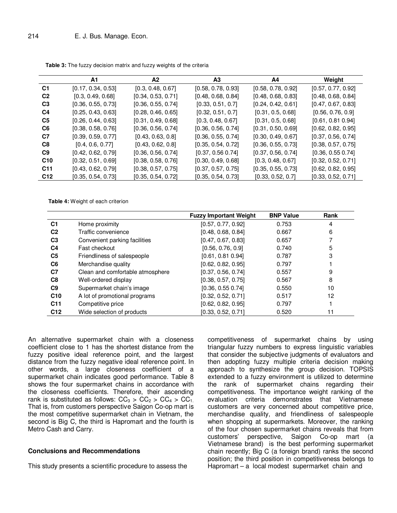|                 | A1                 | A2                 | А3                 | A4                 | Weight             |
|-----------------|--------------------|--------------------|--------------------|--------------------|--------------------|
| C <sub>1</sub>  | [0.17, 0.34, 0.53] | [0.3, 0.48, 0.67]  | [0.58, 0.78, 0.93] | [0.58, 0.78, 0.92] | [0.57, 0.77, 0.92] |
| C <sub>2</sub>  | [0.3, 0.49, 0.68]  | [0.34, 0.53, 0.71] | [0.48, 0.68, 0.84] | [0.48, 0.68, 0.83] | [0.48, 0.68, 0.84] |
| C <sub>3</sub>  | [0.36, 0.55, 0.73] | [0.36, 0.55, 0.74] | [0.33, 0.51, 0.7]  | [0.24, 0.42, 0.61] | [0.47, 0.67, 0.83] |
| C <sub>4</sub>  | [0.25, 0.43, 0.63] | [0.28, 0.46, 0.65] | [0.32, 0.51, 0.7]  | [0.31, 0.5, 0.68]  | [0.56, 0.76, 0.9]  |
| C <sub>5</sub>  | [0.26, 0.44, 0.63] | [0.31, 0.49, 0.68] | [0.3, 0.48, 0.67]  | [0.31, 0.5, 0.68]  | [0.61, 0.81, 0.94] |
| C <sub>6</sub>  | [0.38, 0.58, 0.76] | [0.36, 0.56, 0.74] | [0.36, 0.56, 0.74] | [0.31, 0.50, 0.69] | [0.62, 0.82, 0.95] |
| C7              | [0.39, 0.59, 0.77] | [0.43, 0.63, 0.8]  | [0.36, 0.55, 0.74] | [0.30, 0.49, 0.67] | [0.37, 0.56, 0.74] |
| C8              | [0.4, 0.6, 0.77]   | [0.43, 0.62, 0.8]  | [0.35, 0.54, 0.72] | [0.36, 0.55, 0.73] | [0.38, 0.57, 0.75] |
| C <sub>9</sub>  | [0.42, 0.62, 0.79] | [0.36, 0.56, 0.74] | [0.37, 0.56 0.74]  | [0.37, 0.56, 0.74] | [0.36, 0.55, 0.74] |
| C10             | [0.32, 0.51, 0.69] | [0.38, 0.58, 0.76] | [0.30, 0.49, 0.68] | [0.3, 0.48, 0.67]  | [0.32, 0.52, 0.71] |
| C <sub>11</sub> | [0.43, 0.62, 0.79] | [0.38, 0.57, 0.75] | [0.37, 0.57, 0.75] | [0.35, 0.55, 0.73] | [0.62, 0.82, 0.95] |
| C <sub>12</sub> | [0.35, 0.54, 0.73] | [0.35, 0.54, 0.72] | [0.35, 0.54, 0.73] | [0.33, 0.52, 0.7]  | [0.33, 0.52, 0.71] |

**Table 3:** The fuzzy decision matrix and fuzzy weights of the criteria

**Table 4:** Weight of each criterion

|                 |                                  | <b>Fuzzy Important Weight</b> | <b>BNP Value</b> | Rank |
|-----------------|----------------------------------|-------------------------------|------------------|------|
| C <sub>1</sub>  | Home proximity                   | [0.57, 0.77, 0.92]            | 0.753            | 4    |
| C <sub>2</sub>  | Traffic convenience              | [0.48, 0.68, 0.84]            | 0.667            | 6    |
| C <sub>3</sub>  | Convenient parking facilities    | [0.47, 0.67, 0.83]            | 0.657            |      |
| C <sub>4</sub>  | Fast checkout                    | [0.56, 0.76, 0.9]             | 0.740            | 5    |
| C <sub>5</sub>  | Friendliness of salespeople      | [0.61, 0.81, 0.94]            | 0.787            | 3    |
| C <sub>6</sub>  | Merchandise quality              | [0.62, 0.82, 0.95]            | 0.797            |      |
| C7              | Clean and comfortable atmosphere | [0.37, 0.56, 0.74]            | 0.557            | 9    |
| C <sub>8</sub>  | Well-ordered display             | [0.38, 0.57, 0.75]            | 0.567            | 8    |
| C9              | Supermarket chain's image        | [0.36, 0.55, 0.74]            | 0.550            | 10   |
| C <sub>10</sub> | A lot of promotional programs    | [0.32, 0.52, 0.71]            | 0.517            | 12   |
| C <sub>11</sub> | Competitive price                | [0.62, 0.82, 0.95]            | 0.797            |      |
| C <sub>12</sub> | Wide selection of products       | [0.33, 0.52, 0.71]            | 0.520            | 11   |

An alternative supermarket chain with a closeness coefficient close to 1 has the shortest distance from the fuzzy positive ideal reference point, and the largest distance from the fuzzy negative ideal reference point. In other words, a large closeness coefficient of a supermarket chain indicates good performance. Table 8 shows the four supermarket chains in accordance with the closeness coefficients. Therefore, their ascending rank is substituted as follows:  $CC_3 > CC_2 > CC_4 > CC_1$ . That is, from customers perspective Saigon Co-op mart is the most competitive supermarket chain in Vietnam, the second is Big C, the third is Hapromart and the fourth is Metro Cash and Carry.

### **Conclusions and Recommendations**

This study presents a scientific procedure to assess the

competitiveness of supermarket chains by using triangular fuzzy numbers to express linguistic variables that consider the subjective judgments of evaluators and then adopting fuzzy multiple criteria decision making approach to synthesize the group decision. TOPSIS extended to a fuzzy environment is utilized to determine the rank of supermarket chains regarding their competitiveness. The importance weight ranking of the evaluation criteria demonstrates that Vietnamese customers are very concerned about competitive price, merchandise quality, and friendliness of salespeople when shopping at supermarkets. Moreover, the ranking of the four chosen supermarket chains reveals that from customers' perspective, Saigon Co-op mart (a Vietnamese brand) is the best performing supermarket chain recently; Big C (a foreign brand) ranks the second position; the third position in competitiveness belongs to Hapromart – a local modest supermarket chain and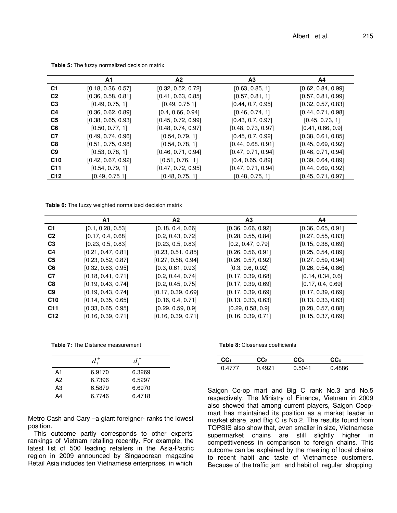|                 | A1                 | A2                 | А3                 | A4                 |
|-----------------|--------------------|--------------------|--------------------|--------------------|
| C <sub>1</sub>  | [0.18, 0.36, 0.57] | [0.32, 0.52, 0.72] | [0.63, 0.85, 1]    | [0.62, 0.84, 0.99] |
| C <sub>2</sub>  | [0.36, 0.58, 0.81] | [0.41, 0.63, 0.85] | [0.57, 0.81, 1]    | [0.57, 0.81, 0.99] |
| C <sub>3</sub>  | [0.49, 0.75, 1]    | [0.49, 0.751]      | [0.44, 0.7, 0.95]  | [0.32, 0.57, 0.83] |
| C <sub>4</sub>  | [0.36, 0.62, 0.89] | [0.4, 0.66, 0.94]  | [0.46, 0.74, 1]    | [0.44, 0.71, 0.98] |
| C <sub>5</sub>  | [0.38, 0.65, 0.93] | [0.45, 0.72, 0.99] | [0.43, 0.7, 0.97]  | [0.45, 0.73, 1]    |
| C <sub>6</sub>  | [0.50, 0.77, 1]    | [0.48, 0.74, 0.97] | [0.48, 0.73, 0.97] | [0.41, 0.66, 0.9]  |
| C7              | [0.49, 0.74, 0.96] | [0.54, 0.79, 1]    | [0.45, 0.7, 0.92]  | [0.38, 0.61, 0.85] |
| C <sub>8</sub>  | [0.51, 0.75, 0.98] | [0.54, 0.78, 1]    | [0.44, 0.68, 0.91] | [0.45, 0.69, 0.92] |
| C9              | [0.53, 0.78, 1]    | [0.46, 0.71, 0.94] | [0.47, 0.71, 0.94] | [0.46, 0.71, 0.94] |
| C <sub>10</sub> | [0.42, 0.67, 0.92] | [0.51, 0.76, 1]    | [0.4, 0.65, 0.89]  | [0.39, 0.64, 0.89] |
| C <sub>11</sub> | [0.54, 0.79, 1]    | [0.47, 0.72, 0.95] | [0.47, 0.71, 0.94] | [0.44, 0.69, 0.92] |
| C <sub>12</sub> | [0.49, 0.751]      | [0.48, 0.75, 1]    | [0.48, 0.75, 1]    | [0.45, 0.71, 0.97] |
|                 |                    |                    |                    |                    |

**Table 5:** The fuzzy normalized decision matrix

**Table 6:** The fuzzy weighted normalized decision matrix

|                 | А1                 | A2                 | А3                 | A4                 |
|-----------------|--------------------|--------------------|--------------------|--------------------|
| C <sub>1</sub>  | [0.1, 0.28, 0.53]  | [0.18, 0.4, 0.66]  | [0.36, 0.66, 0.92] | [0.36, 0.65, 0.91] |
| C <sub>2</sub>  | [0.17, 0.4, 0.68]  | [0.2, 0.43, 0.72]  | [0.28, 0.55, 0.84] | [0.27, 0.55, 0.83] |
| C <sub>3</sub>  | [0.23, 0.5, 0.83]  | [0.23, 0.5, 0.83]  | [0.2, 0.47, 0.79]  | [0.15, 0.38, 0.69] |
| C <sub>4</sub>  | [0.21, 0.47, 0.81] | [0.23, 0.51, 0.85] | [0.26, 0.56, 0.91] | [0.25, 0.54, 0.89] |
| C <sub>5</sub>  | [0.23, 0.52, 0.87] | [0.27, 0.58, 0.94] | [0.26, 0.57, 0.92] | [0.27, 0.59, 0.94] |
| C <sub>6</sub>  | [0.32, 0.63, 0.95] | [0.3, 0.61, 0.93]  | [0.3, 0.6, 0.92]   | [0.26, 0.54, 0.86] |
| C <sub>7</sub>  | [0.18, 0.41, 0.71] | [0.2, 0.44, 0.74]  | [0.17, 0.39, 0.68] | [0.14, 0.34, 0.6]  |
| C <sub>8</sub>  | [0.19, 0.43, 0.74] | [0.2, 0.45, 0.75]  | [0.17, 0.39, 0.69] | [0.17, 0.4, 0.69]  |
| C <sub>9</sub>  | [0.19, 0.43, 0.74] | [0.17, 0.39, 0.69] | [0.17, 0.39, 0.69] | [0.17, 0.39, 0.69] |
| C <sub>10</sub> | [0.14, 0.35, 0.65] | [0.16, 0.4, 0.71]  | [0.13, 0.33, 0.63] | [0.13, 0.33, 0.63] |
| C <sub>11</sub> | [0.33, 0.65, 0.95] | [0.29, 0.59, 0.9]  | [0.29, 0.58, 0.9]  | [0.28, 0.57, 0.88] |
| C <sub>12</sub> | [0.16, 0.39, 0.71] | [0.16, 0.39, 0.71] | [0.16, 0.39, 0.71] | [0.15, 0.37, 0.69] |

**Table 7:** The Distance measurement

|                | $d^+$  | $d$ .  |  |
|----------------|--------|--------|--|
| A1             | 6.9170 | 6.3269 |  |
| A2             | 6.7396 | 6.5297 |  |
| A <sub>3</sub> | 6.5879 | 6.6970 |  |
| A4             | 6.7746 | 6.4718 |  |

Metro Cash and Cary –a giant foreigner- ranks the lowest position.

This outcome partly corresponds to other experts' rankings of Vietnam retailing recently. For example, the latest list of 500 leading retailers in the Asia-Pacific region in 2009 announced by Singaporean magazine Retail Asia includes ten Vietnamese enterprises, in which

**Table 8:** Closeness coefficients

| CC.    | င္ပင္ပ | rr.     | CC <sub>4</sub> |
|--------|--------|---------|-----------------|
| በ 4777 | 1021   | 14<br>ы | 886             |

Saigon Co-op mart and Big C rank No.3 and No.5 respectively. The Ministry of Finance, Vietnam in 2009 also showed that among current players, Saigon Coopmart has maintained its position as a market leader in market share, and Big C is No.2. The results found from TOPSIS also show that, even smaller in size, Vietnamese supermarket chains are still slightly higher in competitiveness in comparison to foreign chains. This outcome can be explained by the meeting of local chains to recent habit and taste of Vietnamese customers. Because of the traffic jam and habit of regular shopping